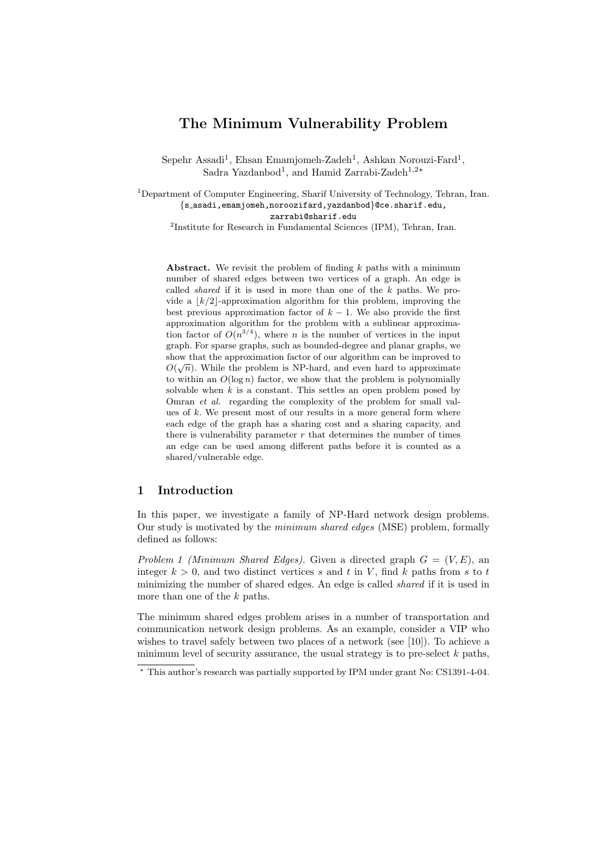# **The Minimum Vulnerability Problem**

Sepehr Assadi<sup>1</sup>, Ehsan Emamjomeh-Zadeh<sup>1</sup>, Ashkan Norouzi-Fard<sup>1</sup>, Sadra Yazdanbod<sup>1</sup>, and Hamid Zarrabi-Zadeh<sup>1,2</sup><sup>*∗*</sup>

<sup>1</sup>Department of Computer Engineering, Sharif University of Technology, Tehran, Iran. *{*s asadi,emamjomeh,noroozifard,yazdanbod*}*@ce.sharif.edu, zarrabi@sharif.edu

<sup>2</sup>Institute for Research in Fundamental Sciences (IPM), Tehran, Iran.

**Abstract.** We revisit the problem of finding *k* paths with a minimum number of shared edges between two vertices of a graph. An edge is called *shared* if it is used in more than one of the *k* paths. We provide a  $\lfloor k/2 \rfloor$ -approximation algorithm for this problem, improving the best previous approximation factor of  $k-1$ . We also provide the first approximation algorithm for the problem with a sublinear approximation factor of  $O(n^{3/4})$ , where *n* is the number of vertices in the input graph. For sparse graphs, such as bounded-degree and planar graphs, we show that the approximation factor of our algorithm can be improved to  $\alpha$  <del>∧</del>  $O(\sqrt{n})$ . While the problem is NP-hard, and even hard to approximate to within an  $O(\log n)$  factor, we show that the problem is polynomially solvable when *k* is a constant. This settles an open problem posed by Omran *et al.* regarding the complexity of the problem for small values of *k*. We present most of our results in a more general form where each edge of the graph has a sharing cost and a sharing capacity, and there is vulnerability parameter  $r$  that determines the number of times an edge can be used among different paths before it is counted as a shared/vulnerable edge.

## **1 Introduction**

In this paper, we investigate a family of NP-Hard network design problems. Our study is motivated by the *minimum shared edges* (MSE) problem, formally defined as follows:

*Problem 1 (Minimum Shared Edges).* Given a directed graph *G* = (*V, E*), an integer  $k > 0$ , and two distinct vertices  $s$  and  $t$  in  $V$ , find  $k$  paths from  $s$  to  $t$ minimizing the number of shared edges. An edge is called *shared* if it is used in more than one of the *k* paths.

The minimum shared edges problem arises in a number of transportation and communication network design problems. As an example, consider a VIP who wishes to travel safely between two places of a network (see [10]). To achieve a minimum level of security assurance, the usual strategy is to pre-select *k* paths,

*<sup>⋆</sup>* This author's research was partially supported by IPM under grant No: CS1391-4-04.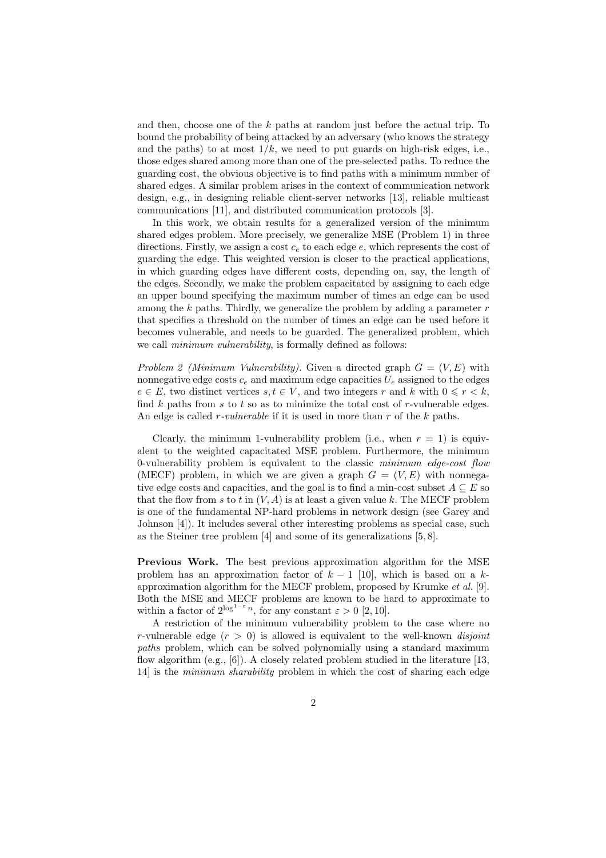and then, choose one of the *k* paths at random just before the actual trip. To bound the probability of being attacked by an adversary (who knows the strategy and the paths) to at most  $1/k$ , we need to put guards on high-risk edges, i.e., those edges shared among more than one of the pre-selected paths. To reduce the guarding cost, the obvious objective is to find paths with a minimum number of shared edges. A similar problem arises in the context of communication network design, e.g., in designing reliable client-server networks [13], reliable multicast communications [11], and distributed communication protocols [3].

In this work, we obtain results for a generalized version of the minimum shared edges problem. More precisely, we generalize MSE (Problem 1) in three directions. Firstly, we assign a cost *c<sup>e</sup>* to each edge *e*, which represents the cost of guarding the edge. This weighted version is closer to the practical applications, in which guarding edges have different costs, depending on, say, the length of the edges. Secondly, we make the problem capacitated by assigning to each edge an upper bound specifying the maximum number of times an edge can be used among the *k* paths. Thirdly, we generalize the problem by adding a parameter *r* that specifies a threshold on the number of times an edge can be used before it becomes vulnerable, and needs to be guarded. The generalized problem, which we call *minimum vulnerability*, is formally defined as follows:

*Problem 2 (Minimum Vulnerability).* Given a directed graph  $G = (V, E)$  with nonnegative edge costs  $c_e$  and maximum edge capacities  $U_e$  assigned to the edges  $e \in E$ , two distinct vertices  $s, t \in V$ , and two integers  $r$  and  $k$  with  $0 \leq r < k$ , find *k* paths from *s* to *t* so as to minimize the total cost of *r*-vulnerable edges. An edge is called *r-vulnerable* if it is used in more than *r* of the *k* paths.

Clearly, the minimum 1-vulnerability problem (i.e., when  $r = 1$ ) is equivalent to the weighted capacitated MSE problem. Furthermore, the minimum 0-vulnerability problem is equivalent to the classic *minimum edge-cost flow* (MECF) problem, in which we are given a graph  $G = (V, E)$  with nonnegative edge costs and capacities, and the goal is to find a min-cost subset  $A \subseteq E$  so that the flow from  $s$  to  $t$  in  $(V, A)$  is at least a given value  $k$ . The MECF problem is one of the fundamental NP-hard problems in network design (see Garey and Johnson [4]). It includes several other interesting problems as special case, such as the Steiner tree problem [4] and some of its generalizations [5, 8].

**Previous Work.** The best previous approximation algorithm for the MSE problem has an approximation factor of  $k - 1$  [10], which is based on a  $k$ approximation algorithm for the MECF problem, proposed by Krumke *et al.* [9]. Both the MSE and MECF problems are known to be hard to approximate to within a factor of  $2^{\log^{1-\varepsilon} n}$ , for any constant  $\varepsilon > 0$  [2, 10].

A restriction of the minimum vulnerability problem to the case where no *r*-vulnerable edge (*r >* 0) is allowed is equivalent to the well-known *disjoint paths* problem, which can be solved polynomially using a standard maximum flow algorithm (e.g., [6]). A closely related problem studied in the literature [13, 14] is the *minimum sharability* problem in which the cost of sharing each edge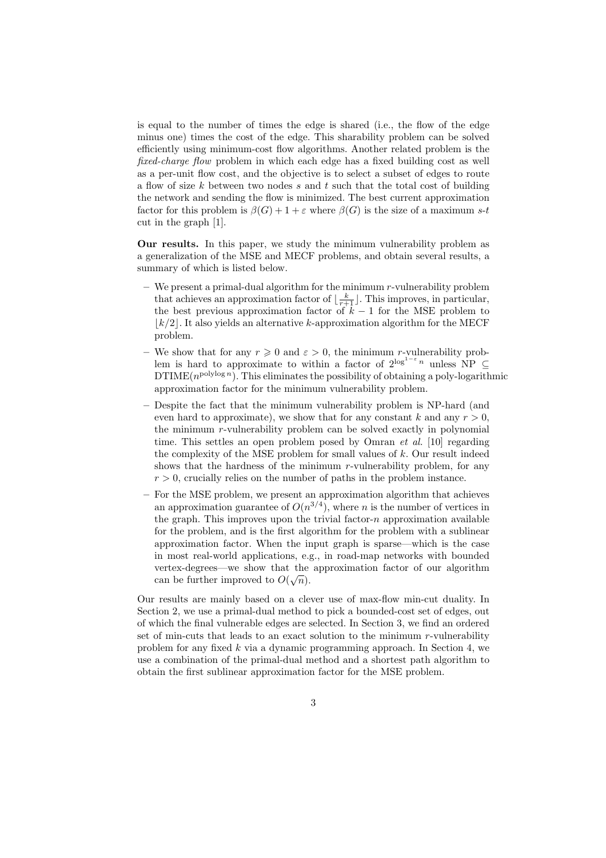is equal to the number of times the edge is shared (i.e., the flow of the edge minus one) times the cost of the edge. This sharability problem can be solved efficiently using minimum-cost flow algorithms. Another related problem is the *fixed-charge flow* problem in which each edge has a fixed building cost as well as a per-unit flow cost, and the objective is to select a subset of edges to route a flow of size *k* between two nodes *s* and *t* such that the total cost of building the network and sending the flow is minimized. The best current approximation factor for this problem is  $\beta(G) + 1 + \varepsilon$  where  $\beta(G)$  is the size of a maximum *s*-*t* cut in the graph [1].

**Our results.** In this paper, we study the minimum vulnerability problem as a generalization of the MSE and MECF problems, and obtain several results, a summary of which is listed below.

- **–** We present a primal-dual algorithm for the minimum *r*-vulnerability problem that achieves an approximation factor of  $\lfloor \frac{k}{r+1} \rfloor$ . This improves, in particular, the best previous approximation factor of *k −* 1 for the MSE problem to *⌊k/*2*⌋*. It also yields an alternative *k*-approximation algorithm for the MECF problem.
- $-$  We show that for any  $r \geq 0$  and  $\varepsilon > 0$ , the minimum *r*-vulnerability problem is hard to approximate to within a factor of  $2^{\log^{1-\epsilon} n}$  unless NP  $\subseteq$  $DTIME(n^{polylog n})$ . This eliminates the possibility of obtaining a poly-logarithmic approximation factor for the minimum vulnerability problem.
- **–** Despite the fact that the minimum vulnerability problem is NP-hard (and even hard to approximate), we show that for any constant  $k$  and any  $r > 0$ , the minimum *r*-vulnerability problem can be solved exactly in polynomial time. This settles an open problem posed by Omran *et al.* [10] regarding the complexity of the MSE problem for small values of *k*. Our result indeed shows that the hardness of the minimum *r*-vulnerability problem, for any  $r > 0$ , crucially relies on the number of paths in the problem instance.
- **–** For the MSE problem, we present an approximation algorithm that achieves an approximation guarantee of  $O(n^{3/4})$ , where *n* is the number of vertices in the graph. This improves upon the trivial factor-*n* approximation available for the problem, and is the first algorithm for the problem with a sublinear approximation factor. When the input graph is sparse—which is the case in most real-world applications, e.g., in road-map networks with bounded vertex-degrees—we show that the approximation factor of our algorithm *√* can be further improved to  $O(\sqrt{n})$ .

Our results are mainly based on a clever use of max-flow min-cut duality. In Section 2, we use a primal-dual method to pick a bounded-cost set of edges, out of which the final vulnerable edges are selected. In Section 3, we find an ordered set of min-cuts that leads to an exact solution to the minimum *r*-vulnerability problem for any fixed *k* via a dynamic programming approach. In Section 4, we use a combination of the primal-dual method and a shortest path algorithm to obtain the first sublinear approximation factor for the MSE problem.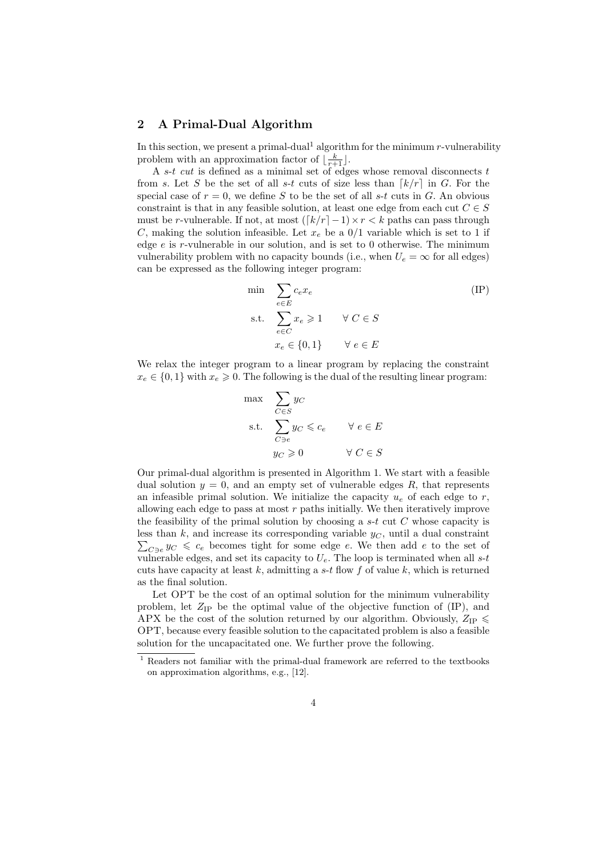### **2 A Primal-Dual Algorithm**

In this section, we present a primal-dual<sup>1</sup> algorithm for the minimum  $r$ -vulnerability problem with an approximation factor of  $\lfloor \frac{k}{r+1} \rfloor$ .

A *s*-*t cut* is defined as a minimal set of edges whose removal disconnects *t* from *s*. Let *S* be the set of all *s*-*t* cuts of size less than  $\lceil k/r \rceil$  in *G*. For the special case of  $r = 0$ , we define *S* to be the set of all *s*-*t* cuts in *G*. An obvious constraint is that in any feasible solution, at least one edge from each cut  $C \in S$ must be *r*-vulnerable. If not, at most  $(\lceil k/r \rceil - 1) \times r \le k$  paths can pass through *C*, making the solution infeasible. Let  $x_e$  be a  $0/1$  variable which is set to 1 if edge *e* is *r*-vulnerable in our solution, and is set to 0 otherwise. The minimum vulnerability problem with no capacity bounds (i.e., when  $U_e = \infty$  for all edges) can be expressed as the following integer program:

$$
\min \sum_{e \in E} c_e x_e
$$
\n
$$
\text{s.t.} \sum_{e \in C} x_e \ge 1 \quad \forall C \in S
$$
\n
$$
x_e \in \{0, 1\} \quad \forall e \in E
$$
\n
$$
(IP)
$$

We relax the integer program to a linear program by replacing the constraint  $x_e \in \{0, 1\}$  with  $x_e \geq 0$ . The following is the dual of the resulting linear program:

$$
\begin{aligned}\n\max \quad & \sum_{C \in S} y_C \\
\text{s.t.} \quad & \sum_{C \ni e} y_C \leqslant c_e \qquad \forall \ e \in E \\
& y_C \geqslant 0 \qquad \qquad \forall \ C \in S\n\end{aligned}
$$

Our primal-dual algorithm is presented in Algorithm 1. We start with a feasible dual solution  $y = 0$ , and an empty set of vulnerable edges  $R$ , that represents an infeasible primal solution. We initialize the capacity  $u_e$  of each edge to  $r$ , allowing each edge to pass at most *r* paths initially. We then iteratively improve the feasibility of the primal solution by choosing a *s*-*t* cut *C* whose capacity is less than *k*, and increase its corresponding variable  $y_C$ , until a dual constraint  $\sum_{C \ni e} y_C \leqslant c_e$  becomes tight for some edge *e*. We then add *e* to the set of vulnerable edges, and set its capacity to *Ue*. The loop is terminated when all *s*-*t* cuts have capacity at least *k*, admitting a *s*-*t* flow *f* of value *k*, which is returned as the final solution.

Let OPT be the cost of an optimal solution for the minimum vulnerability problem, let  $Z_{IP}$  be the optimal value of the objective function of  $(IP)$ , and APX be the cost of the solution returned by our algorithm. Obviously,  $Z_{IP} \leq$ OPT, because every feasible solution to the capacitated problem is also a feasible solution for the uncapacitated one. We further prove the following.

<sup>1</sup> Readers not familiar with the primal-dual framework are referred to the textbooks on approximation algorithms, e.g., [12].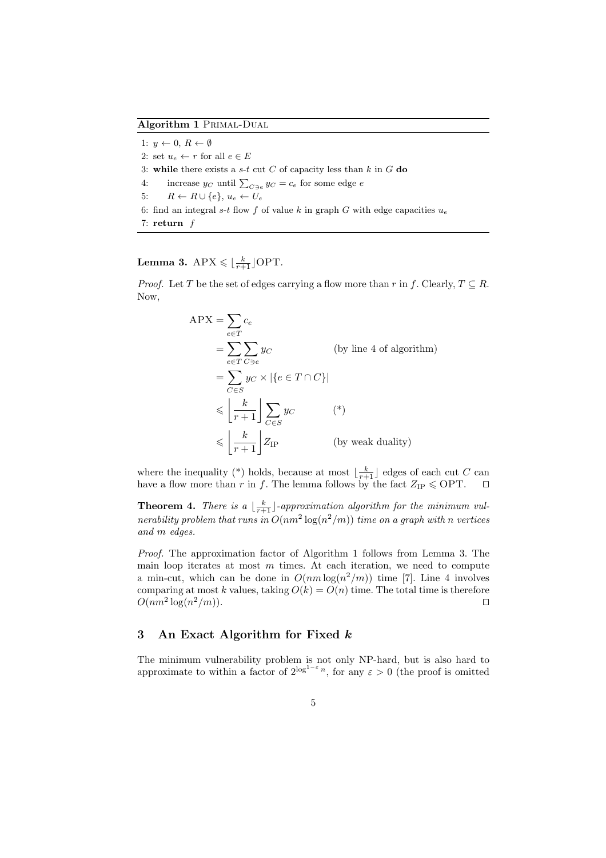**Algorithm 1** Primal-Dual

1: *y ←* 0, *R ← ∅* 2: set  $u_e \leftarrow r$  for all  $e \in E$ 3: **while** there exists a *s*-*t* cut *C* of capacity less than *k* in *G* **do** 4: increase  $y_C$  until  $\sum_{C \ni e} y_C = c_e$  for some edge *e* 5:  $R \leftarrow R \cup \{e\}, u_e \leftarrow U_e$ 6: find an integral *s*-*t* flow *f* of value *k* in graph *G* with edge capacities  $u_e$ 7: **return** *f*

 ${\rm Lemma~3.~APX} \leqslant \lfloor \frac{k}{r+1} \rfloor {\rm OPT}.$ 

*Proof.* Let *T* be the set of edges carrying a flow more than *r* in *f*. Clearly,  $T \subseteq R$ . Now,

$$
APX = \sum_{e \in T} c_e
$$
  
=  $\sum_{e \in T} \sum_{C \ni e} y_C$  (by line 4 of algorithm)  
=  $\sum_{C \in S} y_C \times |\{e \in T \cap C\}|$   
 $\leq \left\lfloor \frac{k}{r+1} \right\rfloor \sum_{C \in S} y_C$  (\*)  
 $\leq \left\lfloor \frac{k}{r+1} \right\rfloor Z_{IP}$  (by weak duality)

where the inequality (\*) holds, because at most  $\lfloor \frac{k}{r+1} \rfloor$  edges of each cut *C* can have a flow more than *r* in *f*. The lemma follows by the fact  $Z_{IP} \leqslant OPT$ .  $□$ 

**Theorem 4.** *There is a*  $\lfloor \frac{k}{r+1} \rfloor$ -approximation algorithm for the minimum vul*nerability problem that runs in*  $O(nm^2 \log(n^2/m))$  *time on a graph with n vertices and m edges.*

*Proof.* The approximation factor of Algorithm 1 follows from Lemma 3. The main loop iterates at most *m* times. At each iteration, we need to compute a min-cut, which can be done in  $O(nm \log(n^2/m))$  time [7]. Line 4 involves comparing at most *k* values, taking  $O(k) = O(n)$  time. The total time is therefore  $O(nm^2 \log(n))$ <sup>2</sup>*/m*)). *⊓⊔*

## **3 An Exact Algorithm for Fixed** *k*

The minimum vulnerability problem is not only NP-hard, but is also hard to approximate to within a factor of  $2^{\log^{1-\epsilon} n}$ , for any  $\varepsilon > 0$  (the proof is omitted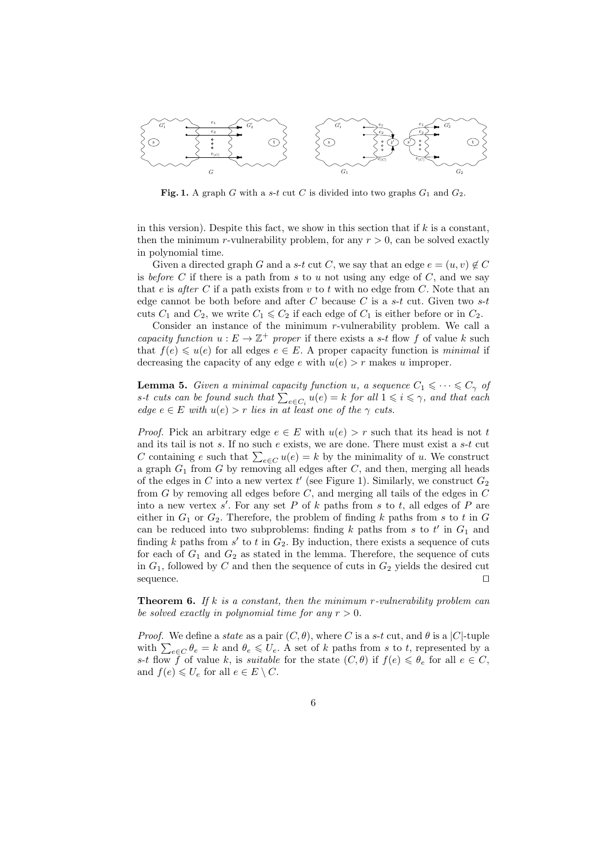

**Fig. 1.** A graph *G* with a *s*-*t* cut *C* is divided into two graphs  $G_1$  and  $G_2$ .

in this version). Despite this fact, we show in this section that if *k* is a constant, then the minimum *r*-vulnerability problem, for any  $r > 0$ , can be solved exactly in polynomial time.

Given a directed graph *G* and a *s*-*t* cut *C*, we say that an edge  $e = (u, v) \notin C$ is *before*  $C$  if there is a path from  $s$  to  $u$  not using any edge of  $C$ , and we say that  $e$  is *after*  $C$  if a path exists from  $v$  to  $t$  with no edge from  $C$ . Note that an edge cannot be both before and after *C* because *C* is a *s*-*t* cut. Given two *s*-*t* cuts  $C_1$  and  $C_2$ , we write  $C_1 \leqslant C_2$  if each edge of  $C_1$  is either before or in  $C_2$ .

Consider an instance of the minimum *r*-vulnerability problem. We call a *capacity function*  $u : E \to \mathbb{Z}^+$  *proper* if there exists a *s*-*t* flow *f* of value *k* such that  $f(e) \leq u(e)$  for all edges  $e \in E$ . A proper capacity function is *minimal* if decreasing the capacity of any edge  $e$  with  $u(e) > r$  makes  $u$  improper.

**Lemma 5.** *Given a minimal capacity function u, a sequence*  $C_1 \leq \cdots \leq C_\gamma$  *of s*<sup>-*t*</sup> *cuts can be found such that*  $\sum_{e \in C_i} u(e) = k$  *for all*  $1 \le i \le \gamma$ *, and that each edge*  $e \in E$  *with*  $u(e) > r$  *lies in at least one of the*  $\gamma$  *cuts.* 

*Proof.* Pick an arbitrary edge  $e \in E$  with  $u(e) > r$  such that its head is not t and its tail is not *s*. If no such *e* exists, we are done. There must exist a *s*-*t* cut *C* containing *e* such that  $\sum_{e \in C} u(e) = k$  by the minimality of *u*. We construct a graph *G*<sup>1</sup> from *G* by removing all edges after *C*, and then, merging all heads of the edges in *C* into a new vertex  $t'$  (see Figure 1). Similarly, we construct  $G_2$ from *G* by removing all edges before *C*, and merging all tails of the edges in *C* into a new vertex *s ′* . For any set *P* of *k* paths from *s* to *t*, all edges of *P* are either in  $G_1$  or  $G_2$ . Therefore, the problem of finding  $k$  paths from  $s$  to  $t$  in  $G$ can be reduced into two subproblems: finding *k* paths from *s* to *t ′* in *G*<sup>1</sup> and finding  $k$  paths from  $s'$  to  $t$  in  $G_2$ . By induction, there exists a sequence of cuts for each of  $G_1$  and  $G_2$  as stated in the lemma. Therefore, the sequence of cuts in  $G_1$ , followed by  $C$  and then the sequence of cuts in  $G_2$  yields the desired cut sequence. *⊓⊔*

**Theorem 6.** *If k is a constant, then the minimum r-vulnerability problem can be solved exactly in polynomial time for any*  $r > 0$ *.* 

*Proof.* We define a *state* as a pair  $(C, \theta)$ , where *C* is a *s*-*t* cut, and  $\theta$  is a  $|C|$ -tuple with  $\sum_{e \in C} \theta_e = k$  and  $\theta_e \leq U_e$ . A set of *k* paths from *s* to *t*, represented by a *s*-*t* flow *f* of value *k*, is *suitable* for the state  $(C, \theta)$  if  $f(e) \leq \theta_e$  for all  $e \in C$ , and  $f(e) \leq U_e$  for all  $e \in E \setminus C$ .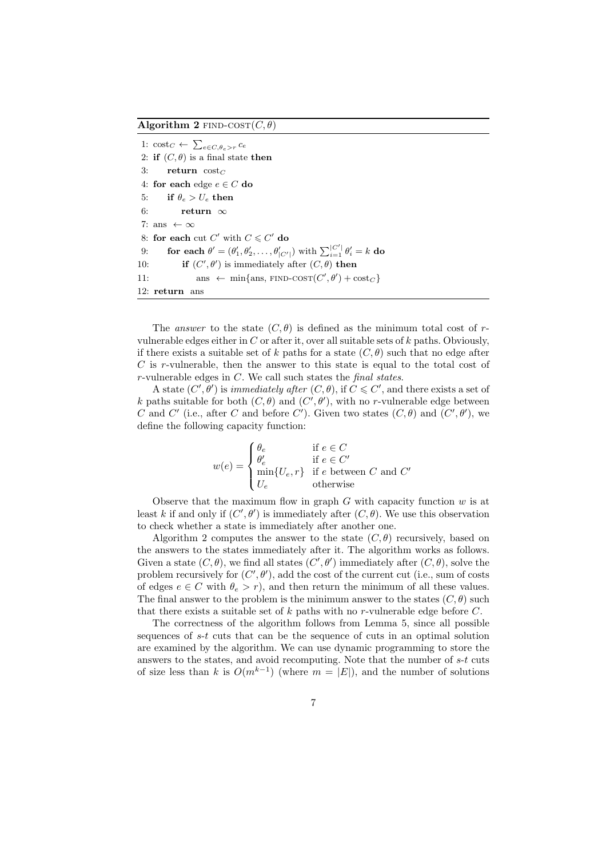**Algorithm 2** FIND-COST $(C, \theta)$ 

1: cost<sub>*C*</sub> ←  $\sum_{e \in C, \theta_e > r} c_e$ 2: **if**  $(C, \theta)$  is a final state **then** 3: **return**  $\text{cost}_C$ 4: **for each** edge  $e \in C$  **do** 5: **if**  $\theta_e > U_e$  **then** 6: **return** *∞* 7: ans *← ∞* 8: **for each** cut  $C'$  with  $C \leq C'$  do 9: **for each**  $\theta' = (\theta'_1, \theta'_2, \dots, \theta'_{|C'|})$  with  $\sum_{i=1}^{|C'|} \theta'_i = k$  do 10: **if**  $(C', \theta')$  is immediately after  $(C, \theta)$  **then** 11: ans  $\leftarrow$  min{ans, FIND-COST $(C', \theta')$  + cost*c*} 12: **return** ans

The *answer* to the state  $(C, \theta)$  is defined as the minimum total cost of *r*vulnerable edges either in *C* or after it, over all suitable sets of *k* paths. Obviously, if there exists a suitable set of *k* paths for a state  $(C, \theta)$  such that no edge after *C* is *r*-vulnerable, then the answer to this state is equal to the total cost of *r*-vulnerable edges in *C*. We call such states the *final states*.

A state  $(C', \theta')$  is *immediately after*  $(C, \theta)$ , if  $C \leq C'$ , and there exists a set of *k* paths suitable for both  $(C, \theta)$  and  $(C', \theta')$ , with no *r*-vulnerable edge between *C* and *C'* (i.e., after *C* and before *C'*). Given two states  $(C, \theta)$  and  $(C', \theta')$ , we define the following capacity function:

$$
w(e) = \begin{cases} \theta_e & \text{if } e \in C \\ \theta'_e & \text{if } e \in C' \\ \min\{U_e, r\} & \text{if } e \text{ between } C \text{ and } C' \\ U_e & \text{otherwise} \end{cases}
$$

Observe that the maximum flow in graph *G* with capacity function *w* is at least *k* if and only if  $(C', \theta')$  is immediately after  $(C, \theta)$ . We use this observation to check whether a state is immediately after another one.

Algorithm 2 computes the answer to the state  $(C, \theta)$  recursively, based on the answers to the states immediately after it. The algorithm works as follows. Given a state  $(C, \theta)$ , we find all states  $(C', \theta')$  immediately after  $(C, \theta)$ , solve the problem recursively for  $(C', \theta')$ , add the cost of the current cut (i.e., sum of costs of edges  $e \in C$  with  $\theta_e > r$ , and then return the minimum of all these values. The final answer to the problem is the minimum answer to the states  $(C, \theta)$  such that there exists a suitable set of *k* paths with no *r*-vulnerable edge before *C*.

The correctness of the algorithm follows from Lemma 5, since all possible sequences of *s*-*t* cuts that can be the sequence of cuts in an optimal solution are examined by the algorithm. We can use dynamic programming to store the answers to the states, and avoid recomputing. Note that the number of *s*-*t* cuts of size less than *k* is  $O(m^{k-1})$  (where  $m = |E|$ ), and the number of solutions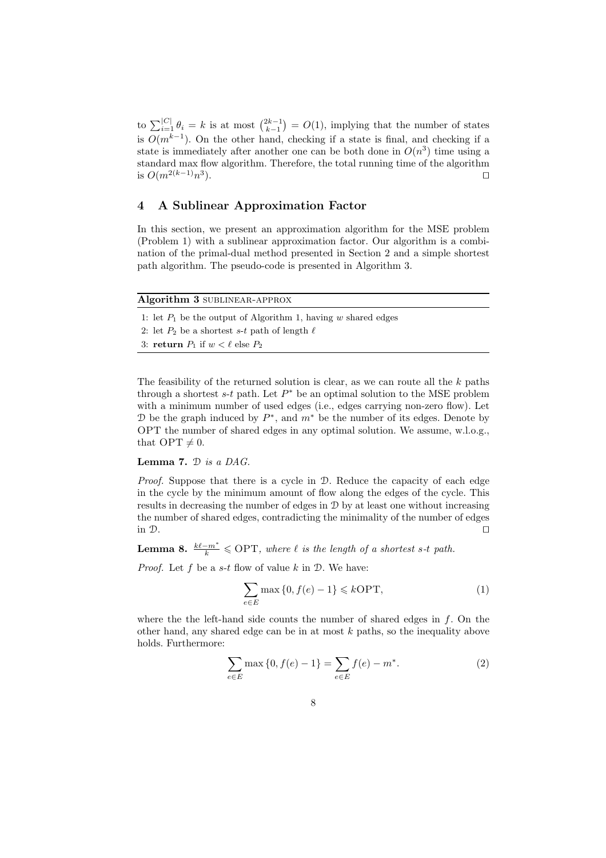to  $\sum_{i=1}^{|C|} \theta_i = k$  is at most  $\binom{2k-1}{k-1} = O(1)$ , implying that the number of states is  $O(m^{k-1})$ . On the other hand, checking if a state is final, and checking if a state is immediately after another one can be both done in  $O(n^3)$  time using a standard max flow algorithm. Therefore, the total running time of the algorithm is *O*(*m*2(*k−*1)*n* 3 ). *⊓⊔*

## **4 A Sublinear Approximation Factor**

In this section, we present an approximation algorithm for the MSE problem (Problem 1) with a sublinear approximation factor. Our algorithm is a combination of the primal-dual method presented in Section 2 and a simple shortest path algorithm. The pseudo-code is presented in Algorithm 3.

| Algorithm 3 SUBLINEAR-APPROX                                     |
|------------------------------------------------------------------|
| 1: let $P_1$ be the output of Algorithm 1, having w shared edges |
| 2: let $P_2$ be a shortest s-t path of length $\ell$             |
| 3: return $P_1$ if $w < \ell$ else $P_2$                         |
|                                                                  |

The feasibility of the returned solution is clear, as we can route all the *k* paths through a shortest  $s$ - $t$  path. Let  $P^*$  be an optimal solution to the MSE problem with a minimum number of used edges (i.e., edges carrying non-zero flow). Let D be the graph induced by *P ∗* , and *m<sup>∗</sup>* be the number of its edges. Denote by OPT the number of shared edges in any optimal solution. We assume, w.l.o.g., that  $OPT \neq 0$ .

### **Lemma 7.** D *is a DAG.*

*Proof.* Suppose that there is a cycle in  $\mathcal{D}$ . Reduce the capacity of each edge in the cycle by the minimum amount of flow along the edges of the cycle. This results in decreasing the number of edges in D by at least one without increasing the number of shared edges, contradicting the minimality of the number of edges in D. *⊓⊔*

**Lemma 8.**  $\frac{k\ell - m^*}{k} \leqslant \text{OPT}$ , where  $\ell$  is the length of a shortest s-t path.

*Proof.* Let *f* be a *s*-*t* flow of value *k* in D. We have:

$$
\sum_{e \in E} \max\left\{0, f(e) - 1\right\} \le k \text{OPT},\tag{1}
$$

where the the left-hand side counts the number of shared edges in *f*. On the other hand, any shared edge can be in at most *k* paths, so the inequality above holds. Furthermore:

$$
\sum_{e \in E} \max\{0, f(e) - 1\} = \sum_{e \in E} f(e) - m^*.
$$
 (2)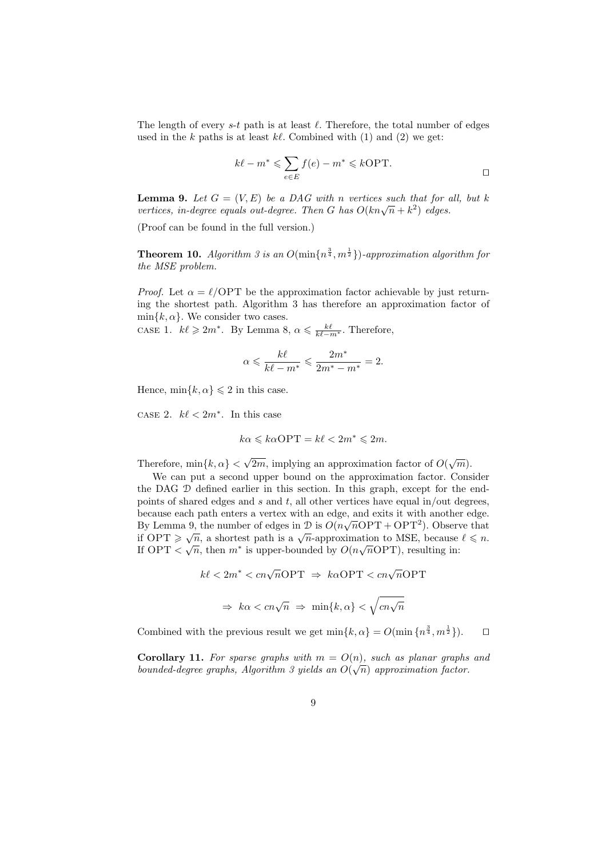The length of every  $s$ -*t* path is at least  $\ell$ . Therefore, the total number of edges used in the *k* paths is at least *kℓ*. Combined with (1) and (2) we get:

$$
k\ell - m^* \leqslant \sum_{e \in E} f(e) - m^* \leqslant k\text{OPT}.
$$

**Lemma 9.** Let  $G = (V, E)$  be a DAG with *n* vertices such that for all, but k *vertices, in-degree equals out-degree. Then**G**has* $O(kn\sqrt{n} + k^2)$  **edges.** 

(Proof can be found in the full version.)

**Theorem 10.** Algorithm 3 is an  $O(\min\{n^{\frac{3}{4}}, m^{\frac{1}{2}}\})$ -approximation algorithm for *the MSE problem.*

*Proof.* Let  $\alpha = \ell$ /OPT be the approximation factor achievable by just returning the shortest path. Algorithm 3 has therefore an approximation factor of  $\min\{k, \alpha\}$ . We consider two cases.

case 1.  $k\ell \geq 2m^*$ . By Lemma 8,  $\alpha \leq \frac{k\ell}{k\ell - m^*}$ . Therefore,

$$
\alpha \leqslant \frac{k\ell}{k\ell - m^*} \leqslant \frac{2m^*}{2m^* - m^*} = 2.
$$

Hence,  $\min\{k, \alpha\} \leq 2$  in this case.

case 2.  $k\ell < 2m^*$ . In this case

$$
k\alpha \leqslant k\alpha \textnormal{OPT} = k\ell < 2m^* \leqslant 2m.
$$

Therefore,  $\min\{k, \alpha\} < \sqrt{2m}$ , implying an approximation factor of  $O(\sqrt{m})$ .

We can put a second upper bound on the approximation factor. Consider the DAG D defined earlier in this section. In this graph, except for the endpoints of shared edges and *s* and *t*, all other vertices have equal in/out degrees, because each path enters a vertex with an edge, and exits it with another edge. *√* By Lemma 9, the number of edges in  $\mathcal{D}$  is  $O(n\sqrt{n} \text{OPT} + \text{OPT}^2)$ . Observe that **if OPT**  $\geq \sqrt{n}$ , a shortest path is a  $\sqrt{n}$ -approximation to MSE, because  $\ell \leq n$ .<br> *√*<sup>*n*</sup> ∴ ∠ *√*<sup>*n*</sup> *j*<sup>*1*</sup> *j*<sup>*1*</sup> *j*<sup>*1*</sup> *j*<sup>*1*</sup> *j*<sup>*1*</sup> *j*<sup>*1*</sup> *j*<sup>*1*</sup> *j*<sup>*1*</sup> *j*<sup>*1*</sup> *j*<sup>*1*</sup> *j*<sup>*1*</sup> *j*<sup>*1*</sup> If OPT  $\langle \sqrt{n}, \text{ then } m^* \text{ is upper-bounded by } O(n\sqrt{n} \text{OPT})$ , resulting in:

$$
k\ell < 2m^* < cn\sqrt{n} \text{OPT} \Rightarrow k\alpha \text{OPT} < cn\sqrt{n} \text{OPT}
$$
  

$$
\Rightarrow k\alpha < cn\sqrt{n} \Rightarrow \min\{k, \alpha\} < \sqrt{cn\sqrt{n}}
$$

Combined with the previous result we get  $\min\{k, \alpha\} = O(\min\{n^{\frac{3}{4}}, m^{\frac{1}{2}}\})$ .  $\Box$ 

**Corollary 11.** For sparse graphs with  $m = O(n)$ , such as planar graphs and *bounded-degree graphs, Algorithm 3 yields an*  $O(\sqrt{n})$  *approximation factor.*